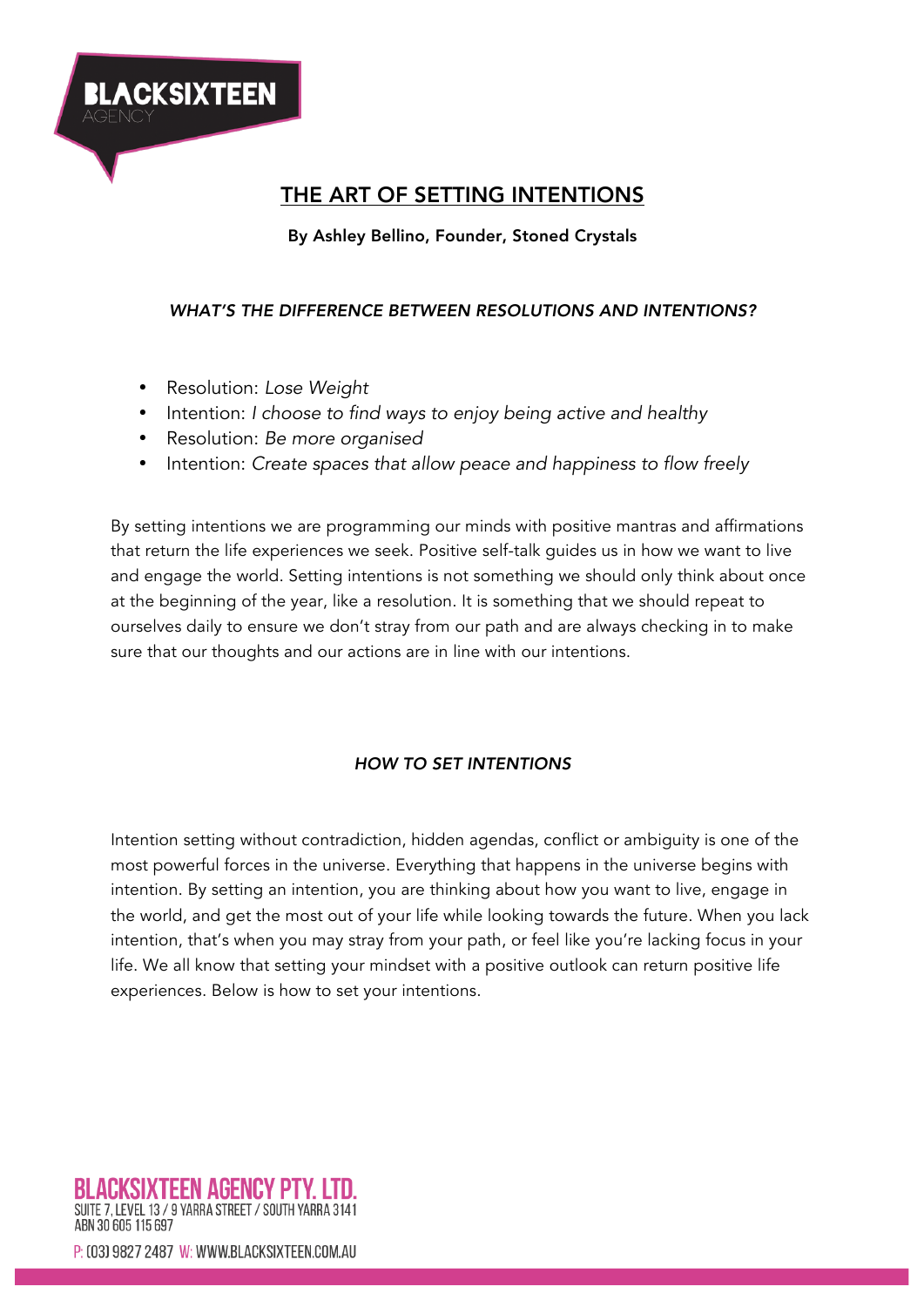

# THE ART OF SETTING INTENTIONS

By Ashley Bellino, Founder, Stoned Crystals

#### *WHAT'S THE DIFFERENCE BETWEEN RESOLUTIONS AND INTENTIONS?*

- Resolution: *Lose Weight*
- Intention: *I choose to find ways to enjoy being active and healthy*
- Resolution: *Be more organised*
- Intention: *Create spaces that allow peace and happiness to flow freely*

By setting intentions we are programming our minds with positive mantras and affirmations that return the life experiences we seek. Positive self-talk guides us in how we want to live and engage the world. Setting intentions is not something we should only think about once at the beginning of the year, like a resolution. It is something that we should repeat to ourselves daily to ensure we don't stray from our path and are always checking in to make sure that our thoughts and our actions are in line with our intentions.

#### *HOW TO SET INTENTIONS*

Intention setting without contradiction, hidden agendas, conflict or ambiguity is one of the most powerful forces in the universe. Everything that happens in the universe begins with intention. By setting an intention, you are thinking about how you want to live, engage in the world, and get the most out of your life while looking towards the future. When you lack intention, that's when you may stray from your path, or feel like you're lacking focus in your life. We all know that setting your mindset with a positive outlook can return positive life experiences. Below is how to set your intentions.